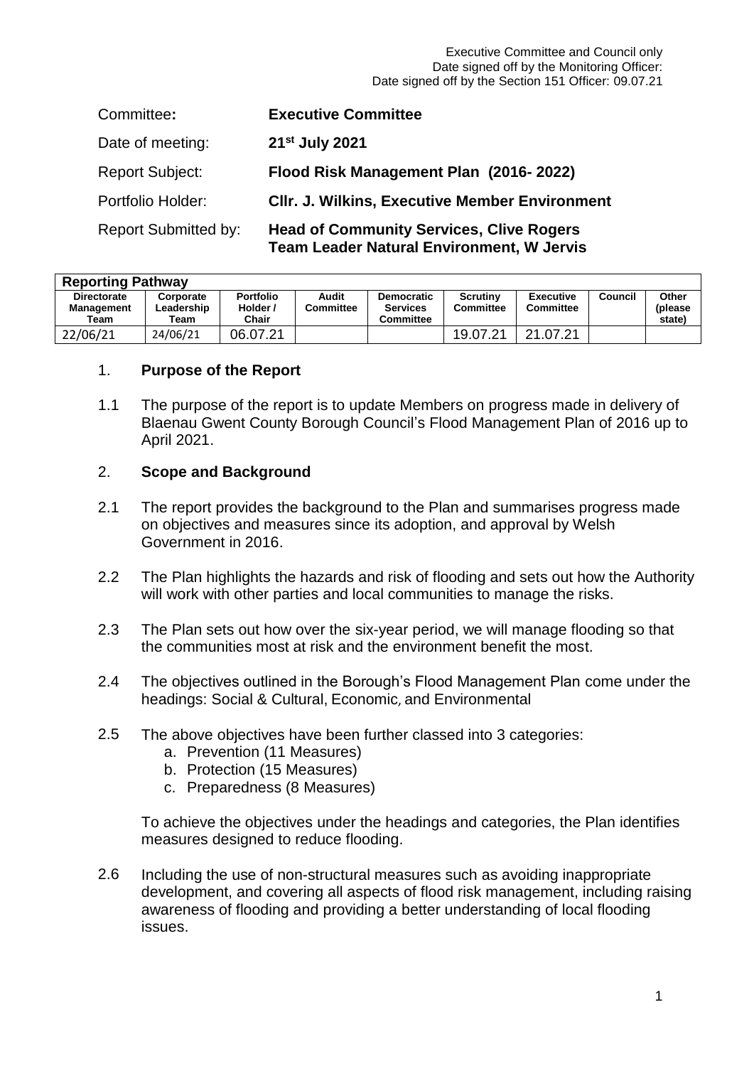Executive Committee and Council only Date signed off by the Monitoring Officer: Date signed off by the Section 151 Officer: 09.07.21

| Committee:                  | <b>Executive Committee</b>                                                                          |
|-----------------------------|-----------------------------------------------------------------------------------------------------|
| Date of meeting:            | 21 <sup>st</sup> July 2021                                                                          |
| <b>Report Subject:</b>      | Flood Risk Management Plan (2016-2022)                                                              |
| Portfolio Holder:           | <b>CIIr. J. Wilkins, Executive Member Environment</b>                                               |
| <b>Report Submitted by:</b> | <b>Head of Community Services, Clive Rogers</b><br><b>Team Leader Natural Environment. W Jervis</b> |

| <b>Reporting Pathway</b> |            |                  |           |                   |                 |                  |         |         |
|--------------------------|------------|------------------|-----------|-------------------|-----------------|------------------|---------|---------|
| <b>Directorate</b>       | Corporate  | <b>Portfolio</b> | Audit     | <b>Democratic</b> | <b>Scrutiny</b> | Executive        | Council | Other   |
| <b>Management</b>        | Leadership | Holder /         | Committee | <b>Services</b>   | Committee       | <b>Committee</b> |         | (please |
| Team                     | Team       | Chair            |           | <b>Committee</b>  |                 |                  |         | state)  |
| 22/06/21                 | 24/06/21   | 06.07.21         |           |                   | 19.07.21        | 21.07.21         |         |         |

### 1. **Purpose of the Report**

1.1 The purpose of the report is to update Members on progress made in delivery of Blaenau Gwent County Borough Council's Flood Management Plan of 2016 up to April 2021.

### 2. **Scope and Background**

- 2.1 The report provides the background to the Plan and summarises progress made on objectives and measures since its adoption, and approval by Welsh Government in 2016.
- $2.2<sub>2</sub>$ The Plan highlights the hazards and risk of flooding and sets out how the Authority will work with other parties and local communities to manage the risks.
- 2.3 The Plan sets out how over the six-year period, we will manage flooding so that the communities most at risk and the environment benefit the most.
- 2.4 The objectives outlined in the Borough's Flood Management Plan come under the headings: Social & Cultural, Economic, and Environmental
- 2.5 The above objectives have been further classed into 3 categories:
	- a. Prevention (11 Measures)
	- b. Protection (15 Measures)
	- c. Preparedness (8 Measures)

To achieve the objectives under the headings and categories, the Plan identifies measures designed to reduce flooding.

2.6 Including the use of non-structural measures such as avoiding inappropriate development, and covering all aspects of flood risk management, including raising awareness of flooding and providing a better understanding of local flooding issues.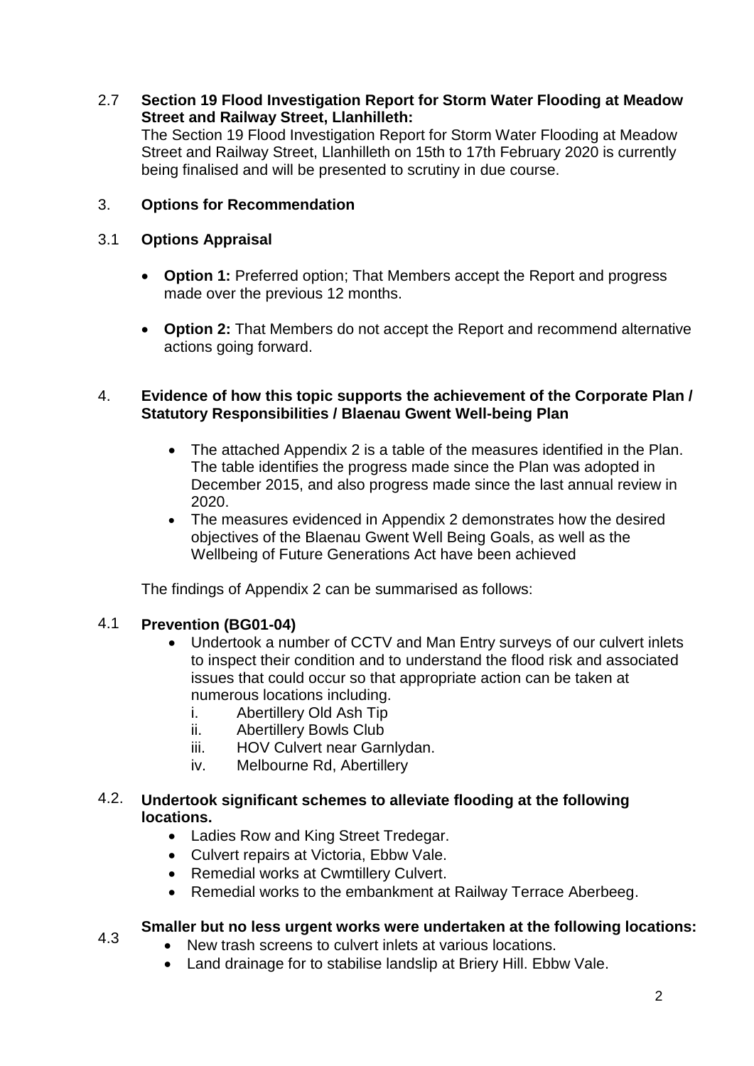## 2.7 **Section 19 Flood Investigation Report for Storm Water Flooding at Meadow Street and Railway Street, Llanhilleth:**

The Section 19 Flood Investigation Report for Storm Water Flooding at Meadow Street and Railway Street, Llanhilleth on 15th to 17th February 2020 is currently being finalised and will be presented to scrutiny in due course.

# 3. **Options for Recommendation**

# 3.1 **Options Appraisal**

- **Option 1:** Preferred option; That Members accept the Report and progress made over the previous 12 months.
- **Option 2:** That Members do not accept the Report and recommend alternative actions going forward.

### 4. **Evidence of how this topic supports the achievement of the Corporate Plan / Statutory Responsibilities / Blaenau Gwent Well-being Plan**

- The attached Appendix 2 is a table of the measures identified in the Plan. The table identifies the progress made since the Plan was adopted in December 2015, and also progress made since the last annual review in 2020.
- The measures evidenced in Appendix 2 demonstrates how the desired objectives of the Blaenau Gwent Well Being Goals, as well as the Wellbeing of Future Generations Act have been achieved

The findings of Appendix 2 can be summarised as follows:

#### 4.1 **Prevention (BG01-04)**

4.3

- Undertook a number of CCTV and Man Entry surveys of our culvert inlets to inspect their condition and to understand the flood risk and associated issues that could occur so that appropriate action can be taken at numerous locations including.
	- i. Abertillery Old Ash Tip
	- ii. Abertillery Bowls Club
	- iii. HOV Culvert near Garnlydan.
	- iv. Melbourne Rd, Abertillery

### 4.2. **Undertook significant schemes to alleviate flooding at the following locations.**

- Ladies Row and King Street Tredegar.
- Culvert repairs at Victoria, Ebbw Vale.
- Remedial works at Cwmtillery Culvert.
- Remedial works to the embankment at Railway Terrace Aberbeeg.

# **Smaller but no less urgent works were undertaken at the following locations:**

- New trash screens to culvert inlets at various locations.
- Land drainage for to stabilise landslip at Briery Hill. Ebbw Vale.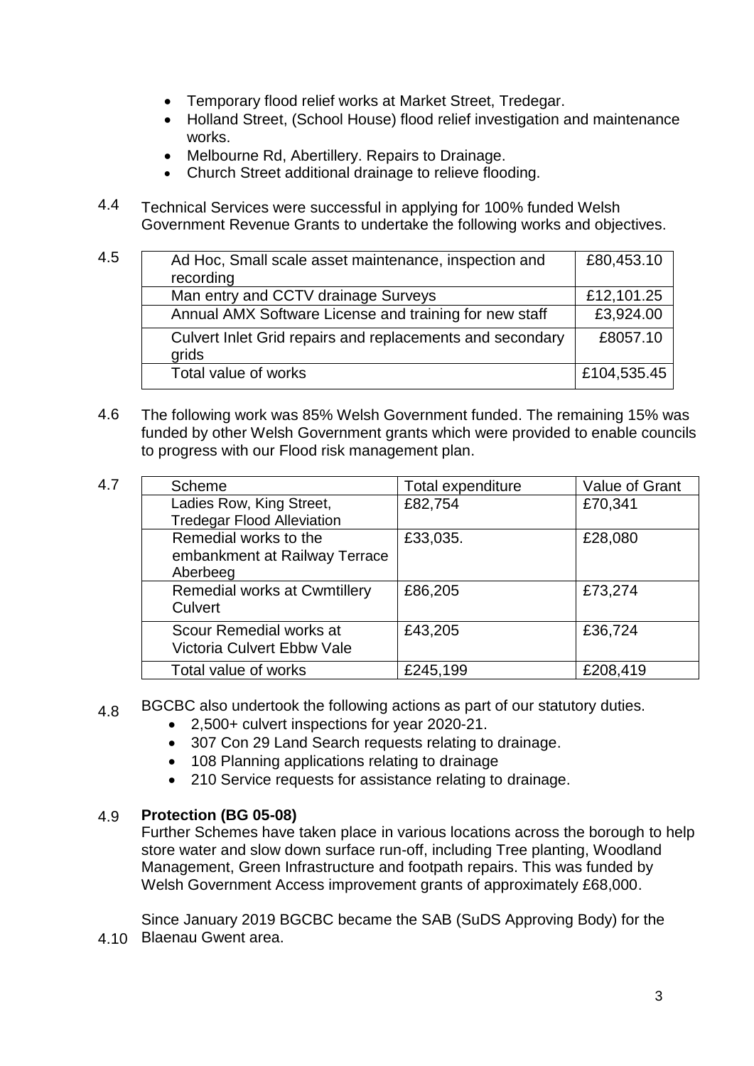- Temporary flood relief works at Market Street, Tredegar.
- Holland Street, (School House) flood relief investigation and maintenance works.
- Melbourne Rd, Abertillery. Repairs to Drainage.
- Church Street additional drainage to relieve flooding.
- 4.4 Technical Services were successful in applying for 100% funded Welsh Government Revenue Grants to undertake the following works and objectives.

| 4.5 | Ad Hoc, Small scale asset maintenance, inspection and              | £80,453.10  |
|-----|--------------------------------------------------------------------|-------------|
|     | recording                                                          |             |
|     | Man entry and CCTV drainage Surveys                                | £12,101.25  |
|     | Annual AMX Software License and training for new staff             | £3,924.00   |
|     | Culvert Inlet Grid repairs and replacements and secondary<br>grids | £8057.10    |
|     | Total value of works                                               | £104,535.45 |

4.6 The following work was 85% Welsh Government funded. The remaining 15% was funded by other Welsh Government grants which were provided to enable councils to progress with our Flood risk management plan.

| 4.7 | Scheme                                                             | Total expenditure | Value of Grant |
|-----|--------------------------------------------------------------------|-------------------|----------------|
|     | Ladies Row, King Street,<br><b>Tredegar Flood Alleviation</b>      | £82,754           | £70,341        |
|     | Remedial works to the<br>embankment at Railway Terrace<br>Aberbeeg | £33,035.          | £28,080        |
|     | <b>Remedial works at Cwmtillery</b><br>Culvert                     | £86,205           | £73,274        |
|     | Scour Remedial works at<br>Victoria Culvert Ebbw Vale              | £43,205           | £36,724        |
|     | Total value of works                                               | £245,199          | £208,419       |

- 4.8 BGCBC also undertook the following actions as part of our statutory duties.
	- 2,500+ culvert inspections for year 2020-21.
	- 307 Con 29 Land Search requests relating to drainage.
	- 108 Planning applications relating to drainage
	- 210 Service requests for assistance relating to drainage.

#### 4.9 **Protection (BG 05-08)**

Further Schemes have taken place in various locations across the borough to help store water and slow down surface run-off, including Tree planting, Woodland Management, Green Infrastructure and footpath repairs. This was funded by Welsh Government Access improvement grants of approximately £68,000.

4.10 Blaenau Gwent area. Since January 2019 BGCBC became the SAB (SuDS Approving Body) for the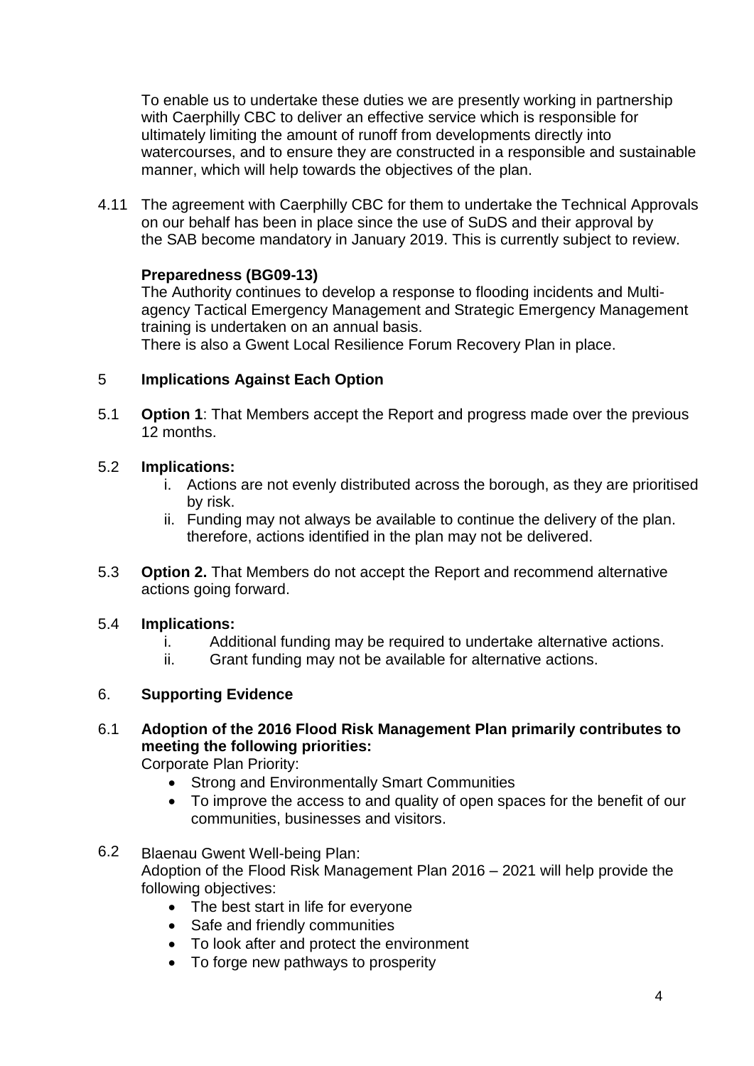To enable us to undertake these duties we are presently working in partnership with Caerphilly CBC to deliver an effective service which is responsible for ultimately limiting the amount of runoff from developments directly into watercourses, and to ensure they are constructed in a responsible and sustainable manner, which will help towards the objectives of the plan.

4.11 The agreement with Caerphilly CBC for them to undertake the Technical Approvals on our behalf has been in place since the use of SuDS and their approval by the SAB become mandatory in January 2019. This is currently subject to review.

# **Preparedness (BG09-13)**

The Authority continues to develop a response to flooding incidents and Multiagency Tactical Emergency Management and Strategic Emergency Management training is undertaken on an annual basis.

There is also a Gwent Local Resilience Forum Recovery Plan in place.

#### 5 **Implications Against Each Option**

5.1 **Option 1:** That Members accept the Report and progress made over the previous 12 months.

#### 5.2 **Implications:**

- i. Actions are not evenly distributed across the borough, as they are prioritised by risk.
- ii. Funding may not always be available to continue the delivery of the plan. therefore, actions identified in the plan may not be delivered.
- 5.3 **Option 2.** That Members do not accept the Report and recommend alternative actions going forward.

#### 5.4 **Implications:**

- i. Additional funding may be required to undertake alternative actions.
- ii. Grant funding may not be available for alternative actions.

#### 6. **Supporting Evidence**

6.1 **Adoption of the 2016 Flood Risk Management Plan primarily contributes to meeting the following priorities:** 

Corporate Plan Priority:

- Strong and Environmentally Smart Communities
- To improve the access to and quality of open spaces for the benefit of our communities, businesses and visitors.
- 6.2 Blaenau Gwent Well-being Plan: Adoption of the Flood Risk Management Plan 2016 – 2021 will help provide the following objectives:
	- The best start in life for everyone
	- Safe and friendly communities
	- To look after and protect the environment
	- To forge new pathways to prosperity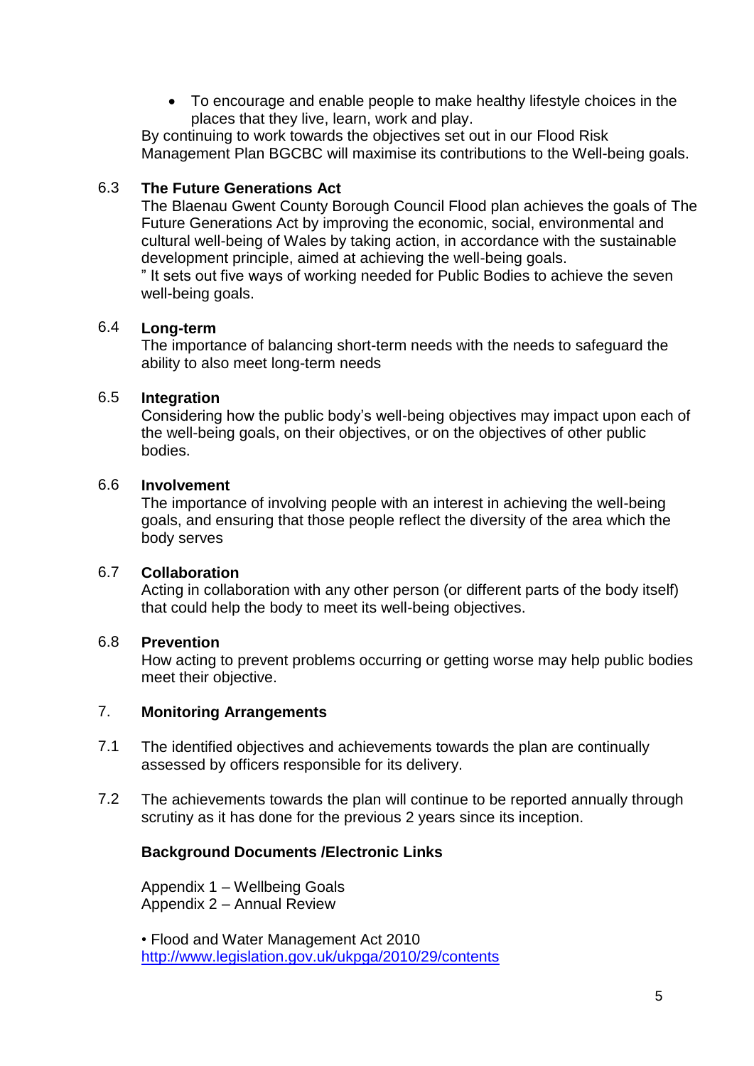To encourage and enable people to make healthy lifestyle choices in the places that they live, learn, work and play.

By continuing to work towards the objectives set out in our Flood Risk Management Plan BGCBC will maximise its contributions to the Well-being goals.

#### 6.3 **The Future Generations Act**

The Blaenau Gwent County Borough Council Flood plan achieves the goals of The Future Generations Act by improving the economic, social, environmental and cultural well-being of Wales by taking action, in accordance with the sustainable development principle, aimed at achieving the well-being goals.

" It sets out five ways of working needed for Public Bodies to achieve the seven well-being goals.

#### 6.4 **Long-term**

The importance of balancing short-term needs with the needs to safeguard the ability to also meet long-term needs

#### 6.5 **Integration**

Considering how the public body's well-being objectives may impact upon each of the well-being goals, on their objectives, or on the objectives of other public bodies.

#### 6.6 **Involvement**

The importance of involving people with an interest in achieving the well-being goals, and ensuring that those people reflect the diversity of the area which the body serves

#### 6.7 **Collaboration**

Acting in collaboration with any other person (or different parts of the body itself) that could help the body to meet its well-being objectives.

#### 6.8 **Prevention**

How acting to prevent problems occurring or getting worse may help public bodies meet their objective.

#### 7. **Monitoring Arrangements**

- 7.1 The identified objectives and achievements towards the plan are continually assessed by officers responsible for its delivery.
- 7.2 The achievements towards the plan will continue to be reported annually through scrutiny as it has done for the previous 2 years since its inception.

# **Background Documents /Electronic Links**

Appendix 1 – Wellbeing Goals Appendix 2 – Annual Review

• Flood and Water Management Act 2010 <http://www.legislation.gov.uk/ukpga/2010/29/contents>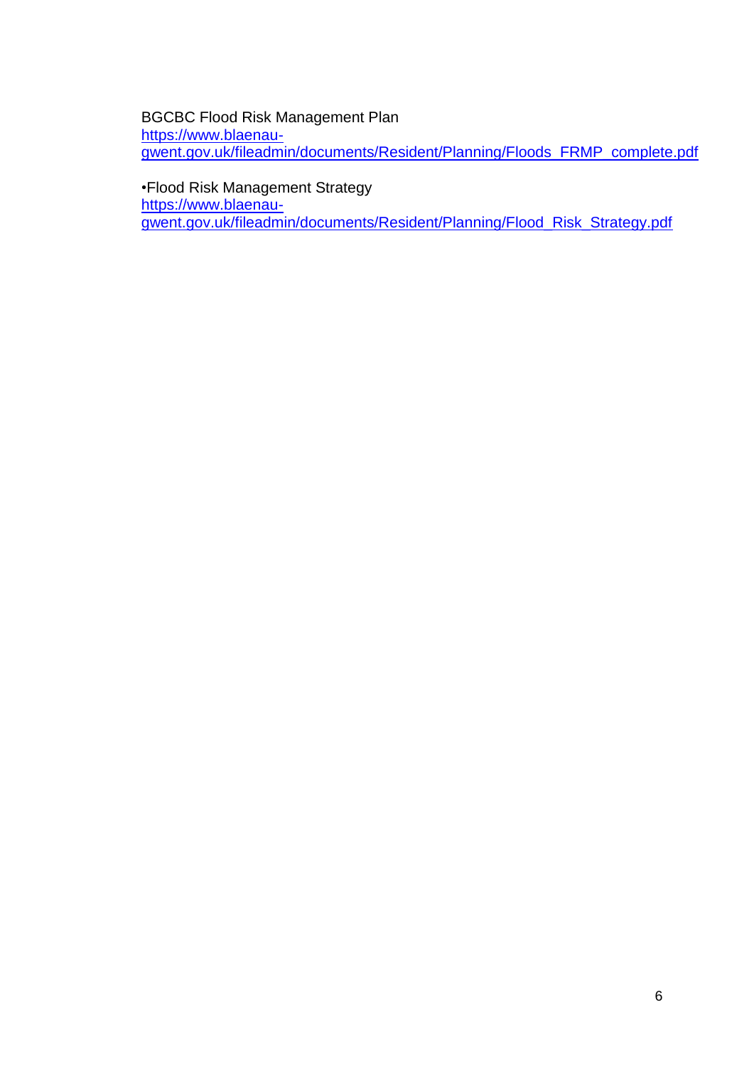### BGCBC Flood Risk Management Plan [https://www.blaenau](https://www.blaenau-gwent.gov.uk/fileadmin/documents/Resident/Planning/Floods_FRMP_complete.pdf)[gwent.gov.uk/fileadmin/documents/Resident/Planning/Floods\\_FRMP\\_complete.pdf](https://www.blaenau-gwent.gov.uk/fileadmin/documents/Resident/Planning/Floods_FRMP_complete.pdf)

•Flood Risk Management Strategy [https://www.blaenau](https://www.blaenau-gwent.gov.uk/fileadmin/documents/Resident/Planning/Flood_Risk_Strategy.pdf)[gwent.gov.uk/fileadmin/documents/Resident/Planning/Flood\\_Risk\\_Strategy.pdf](https://www.blaenau-gwent.gov.uk/fileadmin/documents/Resident/Planning/Flood_Risk_Strategy.pdf)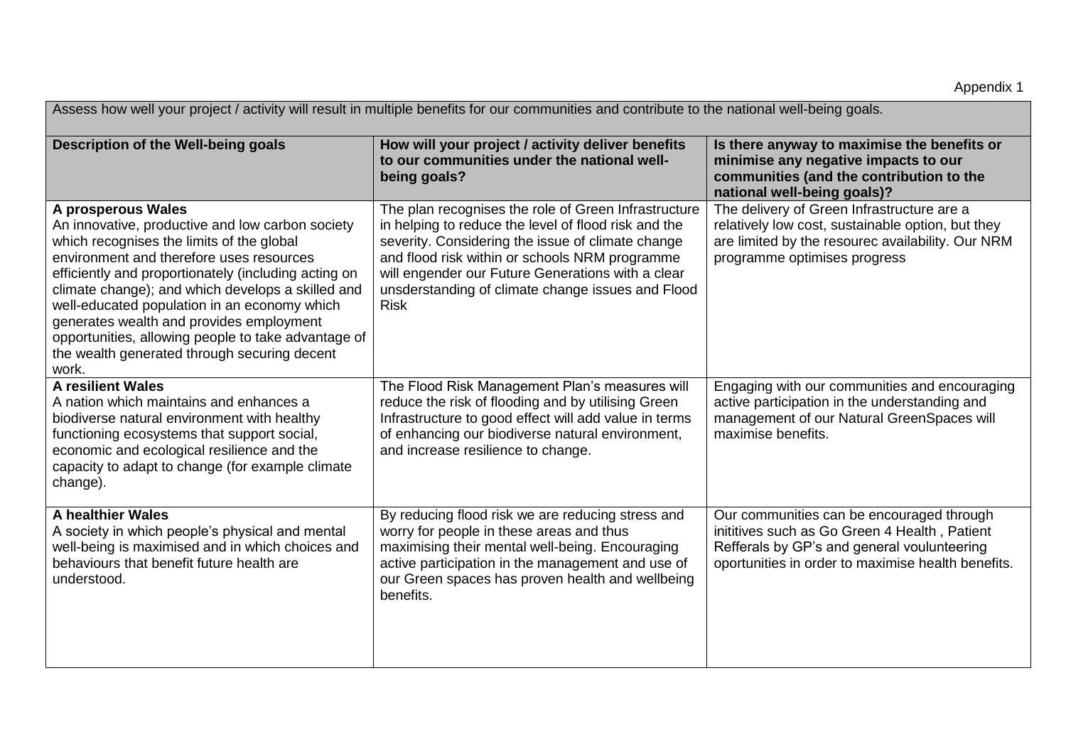| Assess how well your project / activity will result in multiple benefits for our communities and contribute to the national well-being goals.                                                                                                                                                                                                                                                                                                                                            |                                                                                                                                                                                                                                                                                                                                              |                                                                                                                                                                                                 |  |  |  |
|------------------------------------------------------------------------------------------------------------------------------------------------------------------------------------------------------------------------------------------------------------------------------------------------------------------------------------------------------------------------------------------------------------------------------------------------------------------------------------------|----------------------------------------------------------------------------------------------------------------------------------------------------------------------------------------------------------------------------------------------------------------------------------------------------------------------------------------------|-------------------------------------------------------------------------------------------------------------------------------------------------------------------------------------------------|--|--|--|
| Description of the Well-being goals                                                                                                                                                                                                                                                                                                                                                                                                                                                      | How will your project / activity deliver benefits<br>to our communities under the national well-<br>being goals?                                                                                                                                                                                                                             | Is there anyway to maximise the benefits or<br>minimise any negative impacts to our<br>communities (and the contribution to the<br>national well-being goals)?                                  |  |  |  |
| A prosperous Wales<br>An innovative, productive and low carbon society<br>which recognises the limits of the global<br>environment and therefore uses resources<br>efficiently and proportionately (including acting on<br>climate change); and which develops a skilled and<br>well-educated population in an economy which<br>generates wealth and provides employment<br>opportunities, allowing people to take advantage of<br>the wealth generated through securing decent<br>work. | The plan recognises the role of Green Infrastructure<br>in helping to reduce the level of flood risk and the<br>severity. Considering the issue of climate change<br>and flood risk within or schools NRM programme<br>will engender our Future Generations with a clear<br>unsderstanding of climate change issues and Flood<br><b>Risk</b> | The delivery of Green Infrastructure are a<br>relatively low cost, sustainable option, but they<br>are limited by the resourec availability. Our NRM<br>programme optimises progress            |  |  |  |
| <b>A resilient Wales</b><br>A nation which maintains and enhances a<br>biodiverse natural environment with healthy<br>functioning ecosystems that support social,<br>economic and ecological resilience and the<br>capacity to adapt to change (for example climate<br>change).                                                                                                                                                                                                          | The Flood Risk Management Plan's measures will<br>reduce the risk of flooding and by utilising Green<br>Infrastructure to good effect will add value in terms<br>of enhancing our biodiverse natural environment,<br>and increase resilience to change.                                                                                      | Engaging with our communities and encouraging<br>active participation in the understanding and<br>management of our Natural GreenSpaces will<br>maximise benefits.                              |  |  |  |
| <b>A healthier Wales</b><br>A society in which people's physical and mental<br>well-being is maximised and in which choices and<br>behaviours that benefit future health are<br>understood.                                                                                                                                                                                                                                                                                              | By reducing flood risk we are reducing stress and<br>worry for people in these areas and thus<br>maximising their mental well-being. Encouraging<br>active participation in the management and use of<br>our Green spaces has proven health and wellbeing<br>benefits.                                                                       | Our communities can be encouraged through<br>inititives such as Go Green 4 Health, Patient<br>Refferals by GP's and general voulunteering<br>oportunities in order to maximise health benefits. |  |  |  |